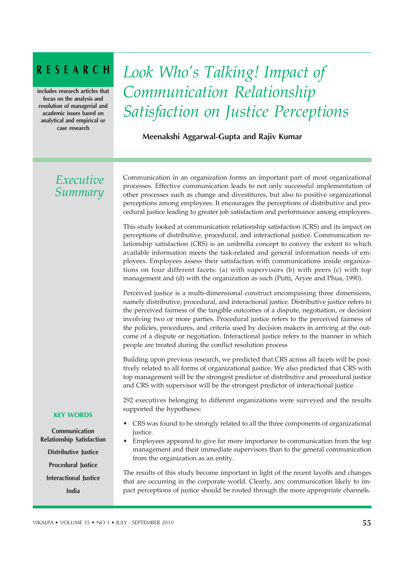# RESEARCH

includes research articles that focus on the analysis and resolution of managerial and academic issues based on analytical and empirical or case research

# *Look Who's Talking! Impact of Communication Relationship Satisfaction on Justice Perceptions*

## Meenakshi Aggarwal-Gupta and Rajiv Kumar

# *Executive Summary*

Communication in an organization forms an important part of most organizational processes. Effective communication leads to not only successful implementation of other processes such as change and divestitures, but also to positive organizational perceptions among employees. It encourages the perceptions of distributive and procedural justice leading to greater job satisfaction and performance among employees.

This study looked at communication relationship satisfaction (CRS) and its impact on perceptions of distributive, procedural, and interactional justice. Communication relationship satisfaction (CRS) is an umbrella concept to convey the extent to which available information meets the task-related and general information needs of employees. Employees assess their satisfaction with communications inside organizations on four different facets: (a) with supervisors (b) with peers (c) with top management and (d) with the organization as such (Putti, Aryee and Phua, 1990).

Perceived justice is a multi-dimensional construct encompassing three dimensions, namely distributive, procedural, and interactional justice. Distributive justice refers to the perceived fairness of the tangible outcomes of a dispute, negotiation, or decision involving two or more parties. Procedural justice refers to the perceived fairness of the policies, procedures, and criteria used by decision makers in arriving at the outcome of a dispute or negotiation. Interactional justice refers to the manner in which people are treated during the conflict resolution process

Building upon previous research, we predicted that CRS across all facets will be positively related to all forms of organizational justice. We also predicted that CRS with top management will be the strongest predictor of distributive and procedural justice and CRS with supervisor will be the strongest predictor of interactional justice

292 executives belonging to different organizations were surveyed and the results supported the hypotheses:

- CRS was found to be strongly related to all the three components of organizational justice.
- Employees appeared to give far more importance to communication from the top management and their immediate supervisors than to the general communication from the organization as an entity.

The results of this study become important in light of the recent layoffs and changes that are occurring in the corporate world. Clearly, any communication likely to impact perceptions of justice should be routed through the more appropriate channels.

#### KEY WORDS

Communication Relationship Satisfaction Distributive Justice Procedural Justice

Interactional Justice India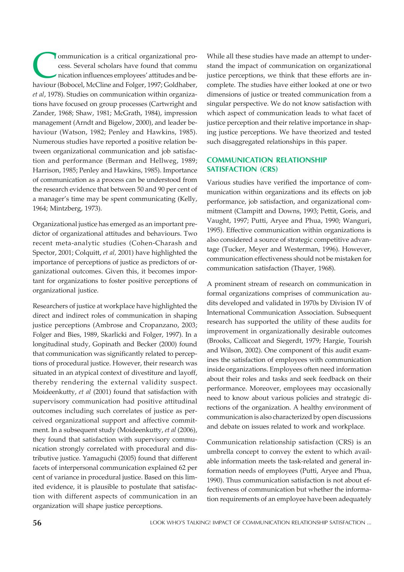**COMMUNIST COMMUNIST AND SURVEYOR ENCICED SURVEYOR SURVEYOR SURVEYOR AND SURVEYOR AND SURVEYOR AND SURVEYOR AND SURVEYOR AND SURVEYOR AND SURVEYOR AND SURVEYOR AND SURVEYOR SURVEYOR AND SURVEYOR SURVEYOR AND SURVEYOR SURVE** ommunication is a critical organizational process. Several scholars have found that commu nication influences employees' attitudes and be*et al*, 1978). Studies on communication within organizations have focused on group processes (Cartwright and Zander, 1968; Shaw, 1981; McGrath, 1984), impression management (Arndt and Bigelow, 2000), and leader behaviour (Watson, 1982; Penley and Hawkins, 1985). Numerous studies have reported a positive relation between organizational communication and job satisfaction and performance (Berman and Hellweg, 1989; Harrison, 1985; Penley and Hawkins, 1985). Importance of communication as a process can be understood from the research evidence that between 50 and 90 per cent of a manager's time may be spent communicating (Kelly, 1964; Mintzberg, 1973).

Organizational justice has emerged as an important predictor of organizational attitudes and behaviours. Two recent meta-analytic studies (Cohen-Charash and Spector, 2001; Colquitt, *et al,* 2001) have highlighted the importance of perceptions of justice as predictors of organizational outcomes. Given this, it becomes important for organizations to foster positive perceptions of organizational justice.

Researchers of justice at workplace have highlighted the direct and indirect roles of communication in shaping justice perceptions (Ambrose and Cropanzano, 2003; Folger and Bies, 1989, Skarlicki and Folger, 1997). In a longitudinal study, Gopinath and Becker (2000) found that communication was significantly related to perceptions of procedural justice. However, their research was situated in an atypical context of divestiture and layoff, thereby rendering the external validity suspect. Moideenkutty, *et al* (2001) found that satisfaction with supervisory communication had positive attitudinal outcomes including such correlates of justice as perceived organizational support and affective commitment. In a subsequent study (Moideenkutty, *et al* (2006), they found that satisfaction with supervisory communication strongly correlated with procedural and distributive justice. Yamaguchi (2005) found that different facets of interpersonal communication explained 62 per cent of variance in procedural justice. Based on this limited evidence, it is plausible to postulate that satisfaction with different aspects of communication in an organization will shape justice perceptions.

While all these studies have made an attempt to understand the impact of communication on organizational justice perceptions, we think that these efforts are incomplete. The studies have either looked at one or two dimensions of justice or treated communication from a singular perspective. We do not know satisfaction with which aspect of communication leads to what facet of justice perception and their relative importance in shaping justice perceptions. We have theorized and tested such disaggregated relationships in this paper.

### COMMUNICATION RELATIONSHIP SATISFACTION (CRS)

Various studies have verified the importance of communication within organizations and its effects on job performance, job satisfaction, and organizational commitment (Clampitt and Downs, 1993; Pettit, Goris, and Vaught, 1997; Putti, Aryee and Phua, 1990; Wanguri, 1995). Effective communication within organizations is also considered a source of strategic competitive advantage (Tucker, Meyer and Westerman, 1996). However, communication effectiveness should not be mistaken for communication satisfaction (Thayer, 1968).

A prominent stream of research on communication in formal organizations comprises of communication audits developed and validated in 1970s by Division IV of International Communication Association. Subsequent research has supported the utility of these audits for improvement in organizationally desirable outcomes (Brooks, Callicoat and Siegerdt, 1979; Hargie, Tourish and Wilson, 2002). One component of this audit examines the satisfaction of employees with communication inside organizations. Employees often need information about their roles and tasks and seek feedback on their performance. Moreover, employees may occasionally need to know about various policies and strategic directions of the organization. A healthy environment of communication is also characterized by open discussions and debate on issues related to work and workplace.

Communication relationship satisfaction (CRS) is an umbrella concept to convey the extent to which available information meets the task-related and general information needs of employees (Putti, Aryee and Phua, 1990). Thus communication satisfaction is not about effectiveness of communication but whether the information requirements of an employee have been adequately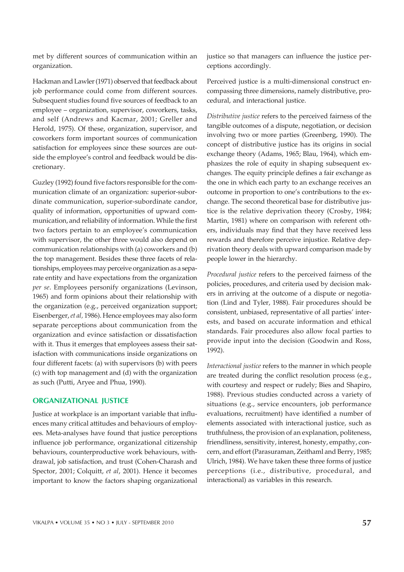met by different sources of communication within an organization.

Hackman and Lawler (1971) observed that feedback about job performance could come from different sources. Subsequent studies found five sources of feedback to an employee – organization, supervisor, coworkers, tasks, and self (Andrews and Kacmar, 2001; Greller and Herold, 1975). Of these, organization, supervisor, and coworkers form important sources of communication satisfaction for employees since these sources are outside the employee's control and feedback would be discretionary.

Guzley (1992) found five factors responsible for the communication climate of an organization: superior-subordinate communication, superior-subordinate candor, quality of information, opportunities of upward communication, and reliability of information. While the first two factors pertain to an employee's communication with supervisor, the other three would also depend on communication relationships with (a) coworkers and (b) the top management. Besides these three facets of relationships, employees may perceive organization as a separate entity and have expectations from the organization *per se*. Employees personify organizations (Levinson, 1965) and form opinions about their relationship with the organization (e.g., perceived organization support; Eisenberger, *et al,* 1986). Hence employees may also form separate perceptions about communication from the organization and evince satisfaction or dissatisfaction with it. Thus it emerges that employees assess their satisfaction with communications inside organizations on four different facets: (a) with supervisors (b) with peers (c) with top management and (d) with the organization as such (Putti, Aryee and Phua, 1990).

#### ORGANIZATIONAL JUSTICE

Justice at workplace is an important variable that influences many critical attitudes and behaviours of employees. Meta-analyses have found that justice perceptions influence job performance, organizational citizenship behaviours, counterproductive work behaviours, withdrawal, job satisfaction, and trust (Cohen-Charash and Spector, 2001; Colquitt, *et al*, 2001). Hence it becomes important to know the factors shaping organizational justice so that managers can influence the justice perceptions accordingly.

Perceived justice is a multi-dimensional construct encompassing three dimensions, namely distributive, procedural, and interactional justice.

*Distributive justice* refers to the perceived fairness of the tangible outcomes of a dispute, negotiation, or decision involving two or more parties (Greenberg, 1990). The concept of distributive justice has its origins in social exchange theory (Adams, 1965; Blau, 1964), which emphasizes the role of equity in shaping subsequent exchanges. The equity principle defines a fair exchange as the one in which each party to an exchange receives an outcome in proportion to one's contributions to the exchange. The second theoretical base for distributive justice is the relative deprivation theory (Crosby, 1984; Martin, 1981) where on comparison with referent others, individuals may find that they have received less rewards and therefore perceive injustice. Relative deprivation theory deals with upward comparison made by people lower in the hierarchy.

*Procedural justice* refers to the perceived fairness of the policies, procedures, and criteria used by decision makers in arriving at the outcome of a dispute or negotiation (Lind and Tyler, 1988). Fair procedures should be consistent, unbiased, representative of all parties' interests, and based on accurate information and ethical standards. Fair procedures also allow focal parties to provide input into the decision (Goodwin and Ross, 1992).

*Interactional justice* refers to the manner in which people are treated during the conflict resolution process (e.g., with courtesy and respect or rudely; Bies and Shapiro, 1988). Previous studies conducted across a variety of situations (e.g., service encounters, job performance evaluations, recruitment) have identified a number of elements associated with interactional justice, such as truthfulness, the provision of an explanation, politeness, friendliness, sensitivity, interest, honesty, empathy, concern, and effort (Parasuraman, Zeithaml and Berry, 1985; Ulrich, 1984). We have taken these three forms of justice perceptions (i.e., distributive, procedural, and interactional) as variables in this research.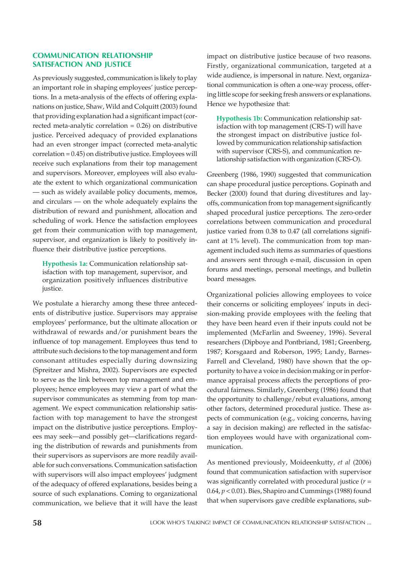#### COMMUNICATION RELATIONSHIP SATISFACTION AND JUSTICE

As previously suggested, communication is likely to play an important role in shaping employees' justice perceptions. In a meta-analysis of the effects of offering explanations on justice, Shaw, Wild and Colquitt (2003) found that providing explanation had a significant impact (corrected meta-analytic correlation  $= 0.26$ ) on distributive justice. Perceived adequacy of provided explanations had an even stronger impact (corrected meta-analytic correlation = 0.45) on distributive justice. Employees will receive such explanations from their top management and supervisors. Moreover, employees will also evaluate the extent to which organizational communication — such as widely available policy documents, memos, and circulars — on the whole adequately explains the distribution of reward and punishment, allocation and scheduling of work. Hence the satisfaction employees get from their communication with top management, supervisor, and organization is likely to positively influence their distributive justice perceptions.

**Hypothesis 1a:** Communication relationship satisfaction with top management, supervisor, and organization positively influences distributive justice.

We postulate a hierarchy among these three antecedents of distributive justice. Supervisors may appraise employees' performance, but the ultimate allocation or withdrawal of rewards and/or punishment bears the influence of top management. Employees thus tend to attribute such decisions to the top management and form consonant attitudes especially during downsizing (Spreitzer and Mishra, 2002). Supervisors are expected to serve as the link between top management and employees; hence employees may view a part of what the supervisor communicates as stemming from top management. We expect communication relationship satisfaction with top management to have the strongest impact on the distributive justice perceptions. Employees may seek—and possibly get—clarifications regarding the distribution of rewards and punishments from their supervisors as supervisors are more readily available for such conversations. Communication satisfaction with supervisors will also impact employees' judgment of the adequacy of offered explanations, besides being a source of such explanations. Coming to organizational communication, we believe that it will have the least

impact on distributive justice because of two reasons. Firstly, organizational communication, targeted at a wide audience, is impersonal in nature. Next, organizational communication is often a one-way process, offering little scope for seeking fresh answers or explanations. Hence we hypothesize that:

**Hypothesis 1b:** Communication relationship satisfaction with top management (CRS-T) will have the strongest impact on distributive justice followed by communication relationship satisfaction with supervisor (CRS-S), and communication relationship satisfaction with organization (CRS-O)*.*

Greenberg (1986, 1990) suggested that communication can shape procedural justice perceptions. Gopinath and Becker (2000) found that during divestitures and layoffs, communication from top management significantly shaped procedural justice perceptions. The zero-order correlations between communication and procedural justice varied from 0.38 to 0.47 (all correlations significant at 1% level). The communication from top management included such items as summaries of questions and answers sent through e-mail, discussion in open forums and meetings, personal meetings, and bulletin board messages.

Organizational policies allowing employees to voice their concerns or soliciting employees' inputs in decision-making provide employees with the feeling that they have been heard even if their inputs could not be implemented (McFarlin and Sweeney, 1996). Several researchers (Dipboye and Pontbriand, 1981; Greenberg, 1987; Korsgaard and Roberson, 1995; Landy, Barnes-Farrell and Cleveland, 1980) have shown that the opportunity to have a voice in decision making or in performance appraisal process affects the perceptions of procedural fairness. Similarly, Greenberg (1986) found that the opportunity to challenge/rebut evaluations, among other factors, determined procedural justice. These aspects of communication (e.g., voicing concerns, having a say in decision making) are reflected in the satisfaction employees would have with organizational communication.

As mentioned previously, Moideenkutty, *et al* (2006) found that communication satisfaction with supervisor was significantly correlated with procedural justice (*r* = 0.64, *p* < 0.01). Bies, Shapiro and Cummings (1988) found that when supervisors gave credible explanations, sub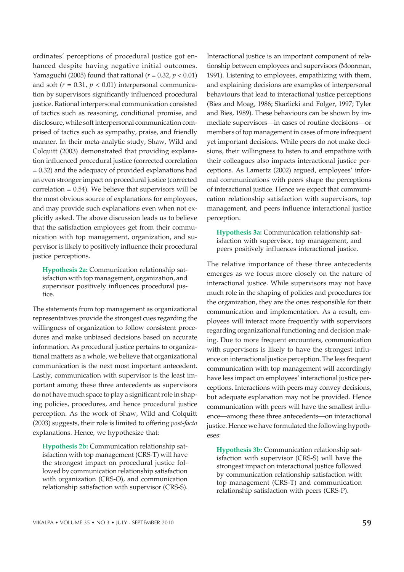ordinates' perceptions of procedural justice got enhanced despite having negative initial outcomes. Yamaguchi (2005) found that rational (*r* = 0.32, *p* < 0.01) and soft  $(r = 0.31, p < 0.01)$  interpersonal communication by supervisors significantly influenced procedural justice. Rational interpersonal communication consisted of tactics such as reasoning, conditional promise, and disclosure, while soft interpersonal communication comprised of tactics such as sympathy, praise, and friendly manner. In their meta-analytic study, Shaw, Wild and Colquitt (2003) demonstrated that providing explanation influenced procedural justice (corrected correlation = 0.32) and the adequacy of provided explanations had an even stronger impact on procedural justice (corrected correlation = 0.54)*.* We believe that supervisors will be the most obvious source of explanations for employees, and may provide such explanations even when not explicitly asked. The above discussion leads us to believe that the satisfaction employees get from their communication with top management, organization, and supervisor is likely to positively influence their procedural justice perceptions.

**Hypothesis 2a:** Communication relationship satisfaction with top management, organization, and supervisor positively influences procedural justice.

The statements from top management as organizational representatives provide the strongest cues regarding the willingness of organization to follow consistent procedures and make unbiased decisions based on accurate information. As procedural justice pertains to organizational matters as a whole, we believe that organizational communication is the next most important antecedent. Lastly, communication with supervisor is the least important among these three antecedents as supervisors do not have much space to play a significant role in shaping policies, procedures, and hence procedural justice perception. As the work of Shaw, Wild and Colquitt (2003) suggests, their role is limited to offering *post-facto* explanations. Hence, we hypothesize that:

**Hypothesis 2b:** Communication relationship satisfaction with top management (CRS-T) will have the strongest impact on procedural justice followed by communication relationship satisfaction with organization (CRS-O), and communication relationship satisfaction with supervisor (CRS-S).

Interactional justice is an important component of relationship between employees and supervisors (Moorman, 1991). Listening to employees, empathizing with them, and explaining decisions are examples of interpersonal behaviours that lead to interactional justice perceptions (Bies and Moag, 1986; Skarlicki and Folger, 1997; Tyler and Bies, 1989). These behaviours can be shown by immediate supervisors—in cases of routine decisions—or members of top management in cases of more infrequent yet important decisions. While peers do not make decisions, their willingness to listen to and empathize with their colleagues also impacts interactional justice perceptions. As Lamertz (2002) argued, employees' informal communications with peers shape the perceptions of interactional justice. Hence we expect that communication relationship satisfaction with supervisors, top management, and peers influence interactional justice perception.

**Hypothesis 3a:** Communication relationship satisfaction with supervisor, top management, and peers positively influences interactional justice.

The relative importance of these three antecedents emerges as we focus more closely on the nature of interactional justice. While supervisors may not have much role in the shaping of policies and procedures for the organization, they are the ones responsible for their communication and implementation. As a result, employees will interact more frequently with supervisors regarding organizational functioning and decision making. Due to more frequent encounters, communication with supervisors is likely to have the strongest influence on interactional justice perception. The less frequent communication with top management will accordingly have less impact on employees' interactional justice perceptions. Interactions with peers may convey decisions, but adequate explanation may not be provided. Hence communication with peers will have the smallest influence—among these three antecedents—on interactional justice. Hence we have formulated the following hypotheses:

**Hypothesis 3b:** Communication relationship satisfaction with supervisor (CRS-S) will have the strongest impact on interactional justice followed by communication relationship satisfaction with top management (CRS-T) and communication relationship satisfaction with peers (CRS-P).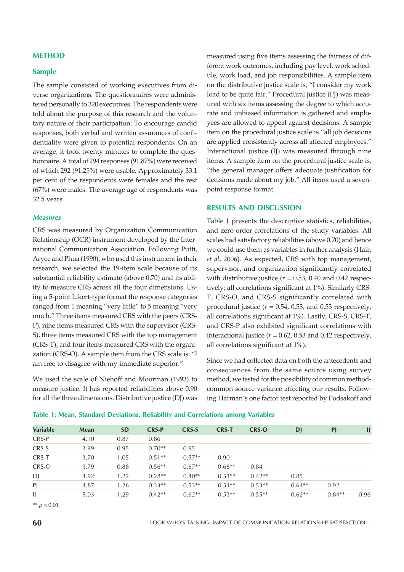#### METHOD

#### Sample

The sample consisted of working executives from diverse organizations. The questionnaires were administered personally to 320 executives. The respondents were told about the purpose of this research and the voluntary nature of their participation. To encourage candid responses, both verbal and written assurances of confidentiality were given to potential respondents. On an average, it took twenty minutes to complete the questionnaire. A total of 294 responses (91.87%) were received of which 292 (91.25%) were usable. Approximately 33.1 per cent of the respondents were females and the rest (67%) were males. The average age of respondents was 32.5 years.

#### **Measures**

CRS was measured by Organization Communication Relationship (OCR) instrument developed by the International Communication Association. Following Putti, Aryee and Phua (1990), who used this instrument in their research, we selected the 19-item scale because of its substantial reliability estimate (above 0.70) and its ability to measure CRS across all the four dimensions. Using a 5-point Likert-type format the response categories ranged from 1 meaning "very little" to 5 meaning "very much." Three items measured CRS with the peers (CRS-P), nine items measured CRS with the supervisor (CRS-S), three items measured CRS with the top management (CRS-T), and four items measured CRS with the organization (CRS-O). A sample item from the CRS scale is: "I am free to disagree with my immediate superior."

We used the scale of Niehoff and Moorman (1993) to measure justice. It has reported reliabilities above 0.90 for all the three dimensions. Distributive justice (DJ) was measured using five items assessing the fairness of different work outcomes, including pay level, work schedule, work load, and job responsibilities. A sample item on the distributive justice scale is, "I consider my work load to be quite fair." Procedural justice (PJ) was measured with six items assessing the degree to which accurate and unbiased information is gathered and employees are allowed to appeal against decisions. A sample item on the procedural justice scale is "all job decisions are applied consistently across all affected employees." Interactional justice (IJ) was measured through nine items. A sample item on the procedural justice scale is, "the general manager offers adequate justification for decisions made about my job." All items used a sevenpoint response format.

#### RESULTS AND DISCUSSION

Table 1 presents the descriptive statistics, reliabilities, and zero-order correlations of the study variables. All scales had satisfactory reliabilities (above 0.70) and hence we could use them as variables in further analysis (Hair, *et al*, 2006). As expected, CRS with top management, supervisor, and organization significantly correlated with distributive justice  $(r = 0.53, 0.40, \text{and } 0.42, \text{respect-}$ tively; all correlations significant at 1%). Similarly CRS-T, CRS-O, and CRS-S significantly correlated with procedural justice  $(r = 0.54, 0.53,$  and 0.53 respectively, all correlations significant at 1%). Lastly, CRS-S, CRS-T, and CRS-P also exhibited significant correlations with interactional justice (*r* = 0.62, 0.53 and 0.42 respectively, all correlations significant at 1%).

Since we had collected data on both the antecedents and consequences from the same source using survey method, we tested for the possibility of common methodcommon source variance affecting our results. Following Harman's one factor test reported by Podsakoff and

| Variable | <b>Mean</b> | <b>SD</b> | <b>CRS-P</b> | <b>CRS-S</b> | <b>CRS-T</b> | <b>CRS-O</b> | DJ       | <b>PJ</b> | IJ   |
|----------|-------------|-----------|--------------|--------------|--------------|--------------|----------|-----------|------|
| CRS-P    | 4.10        | 0.87      | 0.86         |              |              |              |          |           |      |
| CRS-S    | 3.99        | 0.95      | $0.70**$     | 0.95         |              |              |          |           |      |
| CRS-T    | 3.70        | 1.05      | $0.51**$     | $0.57**$     | 0.90         |              |          |           |      |
| CRS-O    | 3.79        | 0.88      | $0.56**$     | $0.67**$     | $0.66**$     | 0.84         |          |           |      |
| DJ       | 4.92        | 1.22      | $0.28**$     | $0.40**$     | $0.53**$     | $0.42**$     | 0.85     |           |      |
| PJ       | 4.87        | 1.26      | $0.33**$     | $0.53**$     | $0.54**$     | $0.53**$     | $0.64**$ | 0.92      |      |
| IJ       | 5.03        | 1.29      | $0.42**$     | $0.62**$     | $0.53**$     | $0.55**$     | $0.62**$ | $0.84**$  | 0.96 |
|          |             |           |              |              |              |              |          |           |      |

Table 1: Mean, Standard Deviations, Reliability and Correlations among Variables

\*\*  $p < 0.01$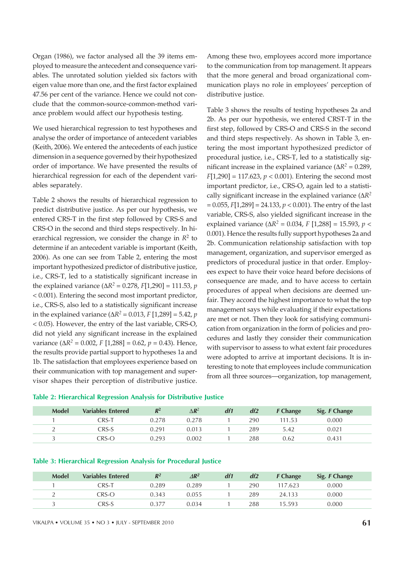Organ (1986), we factor analysed all the 39 items employed to measure the antecedent and consequence variables. The unrotated solution yielded six factors with eigen value more than one, and the first factor explained 47.56 per cent of the variance. Hence we could not conclude that the common-source-common-method variance problem would affect our hypothesis testing.

We used hierarchical regression to test hypotheses and analyse the order of importance of antecedent variables (Keith, 2006). We entered the antecedents of each justice dimension in a sequence governed by their hypothesized order of importance. We have presented the results of hierarchical regression for each of the dependent variables separately.

Table 2 shows the results of hierarchical regression to predict distributive justice. As per our hypothesis, we entered CRS-T in the first step followed by CRS-S and CRS-O in the second and third steps respectively. In hierarchical regression, we consider the change in *R*<sup>2</sup> to determine if an antecedent variable is important (Keith, 2006). As one can see from Table 2, entering the most important hypothesized predictor of distributive justice, i.e., CRS-T, led to a statistically significant increase in the explained variance (∆*R<sup>2</sup>* = 0.278, *F*[1,290] = 111.53, *p* < 0.001). Entering the second most important predictor, i.e., CRS-S, also led to a statistically significant increase in the explained variance (∆*R<sup>2</sup>* = 0.013, *F* [1,289] = 5.42, *p* < 0.05). However, the entry of the last variable, CRS-O, did not yield any significant increase in the explained variance (∆*R<sup>2</sup>* = 0.002, *F* [1,288] = 0.62, *p* = 0.43). Hence, the results provide partial support to hypotheses 1a and 1b. The satisfaction that employees experience based on their communication with top management and supervisor shapes their perception of distributive justice. Among these two, employees accord more importance to the communication from top management. It appears that the more general and broad organizational communication plays no role in employees' perception of distributive justice.

Table 3 shows the results of testing hypotheses 2a and 2b. As per our hypothesis, we entered CRST-T in the first step, followed by CRS-O and CRS-S in the second and third steps respectively. As shown in Table 3, entering the most important hypothesized predictor of procedural justice, i.e., CRS-T, led to a statistically significant increase in the explained variance ( $\Delta R^2 = 0.289$ , *F*[1,290] = 117.623, *p* < 0.001). Entering the second most important predictor, i.e., CRS-O, again led to a statistically significant increase in the explained variance (∆*R<sup>2</sup>* = 0.055, *F*[1,289] = 24.133, *p* < 0.001). The entry of the last variable, CRS-S, also yielded significant increase in the explained variance (∆*R<sup>2</sup>* = 0.034, *F* [1,288] = 15.593, *p* < 0.001). Hence the results fully support hypotheses 2a and 2b. Communication relationship satisfaction with top management, organization, and supervisor emerged as predictors of procedural justice in that order. Employees expect to have their voice heard before decisions of consequence are made, and to have access to certain procedures of appeal when decisions are deemed unfair. They accord the highest importance to what the top management says while evaluating if their expectations are met or not. Then they look for satisfying communication from organization in the form of policies and procedures and lastly they consider their communication with supervisor to assess to what extent fair procedures were adopted to arrive at important decisions. It is interesting to note that employees include communication from all three sources—organization, top management,

|  | Table 2: Hierarchical Regression Analysis for Distributive Justice |  |  |  |
|--|--------------------------------------------------------------------|--|--|--|
|  |                                                                    |  |  |  |

| <b>Model</b> | <b>Variables Entered</b> | $R^2$ | $\Delta$ R <sup>2</sup> | df1 | df2 | <b>F</b> Change | Sig. F Change |  |
|--------------|--------------------------|-------|-------------------------|-----|-----|-----------------|---------------|--|
|              | CRS-1                    | 0.278 | .278                    |     | 290 | 11.53           | 0.000         |  |
|              | CRS-S                    | 0.291 | 0.013                   |     | 289 | 5.42            | 0.021         |  |
|              | CRS-O                    | 0.293 | 0.002                   |     | 288 | 0.62            | 0.431         |  |

#### Table 3: Hierarchical Regression Analysis for Procedural Justice

| <b>Model</b> | <b>Variables Entered</b>         | $R^2$ | $\Delta R^2$ | df1 | df2 | <b>F</b> Change | Sig. F Change |  |
|--------------|----------------------------------|-------|--------------|-----|-----|-----------------|---------------|--|
|              | CRS-T                            | 0.289 | 0.289        |     | 290 | 17.623          | 0.000         |  |
|              | CRS-O                            | 0.343 | 0.055        |     | 289 | 24.133          | 0.000         |  |
|              | $\mathsf{CRS}\text{-}\mathsf{S}$ | 0.377 | 0.034        |     | 288 | 15.593          | 0.000         |  |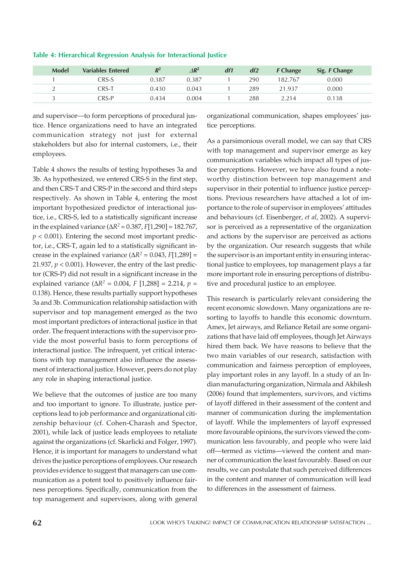| <b>Model</b> | <b>Variables Entered</b>         | $R^2$ | $\triangle R^2$ | df1 | df2 | <b>F</b> Change | Sig. F Change |
|--------------|----------------------------------|-------|-----------------|-----|-----|-----------------|---------------|
|              | $\mathbb{CRS}\text{-}\mathrm{S}$ | 0.387 | 0.387           |     | 290 | 182.767         | 0.000         |
|              | CRS-1                            | 0.430 | 0.043           |     | 289 | 21.937          | 0.000         |
|              | $\mathbb C$ RS-P                 | 0.434 | 0.004           |     | 288 | 2.214           | 0.138         |

## Table 4: Hierarchical Regression Analysis for Interactional Justice

and supervisor—to form perceptions of procedural justice. Hence organizations need to have an integrated communication strategy not just for external stakeholders but also for internal customers, i.e., their employees.

Table 4 shows the results of testing hypotheses 3a and 3b. As hypothesized, we entered CRS-S in the first step, and then CRS-T and CRS-P in the second and third steps respectively. As shown in Table 4, entering the most important hypothesized predictor of interactional justice, i.e., CRS-S, led to a statistically significant increase in the explained variance (∆*R<sup>2</sup>* = 0.387, *F*[1,290] = 182.767,  $p < 0.001$ ). Entering the second most important predictor, i.e., CRS-T, again led to a statistically significant increase in the explained variance ( $\Delta R^2 = 0.043$ ,  $F[1,289] =$ 21.937,  $p < 0.001$ ). However, the entry of the last predictor (CRS-P) did not result in a significant increase in the explained variance (∆*R<sup>2</sup>* = 0.004, *F* [1,288] = 2.214, *p* = 0.138). Hence, these results partially support hypotheses 3a and 3b. Communication relationship satisfaction with supervisor and top management emerged as the two most important predictors of interactional justice in that order. The frequent interactions with the supervisor provide the most powerful basis to form perceptions of interactional justice. The infrequent, yet critical interactions with top management also influence the assessment of interactional justice. However, peers do not play any role in shaping interactional justice.

We believe that the outcomes of justice are too many and too important to ignore. To illustrate, justice perceptions lead to job performance and organizational citizenship behaviour (cf. Cohen-Charash and Spector, 2001), while lack of justice leads employees to retaliate against the organizations (cf. Skarlicki and Folger, 1997). Hence, it is important for managers to understand what drives the justice perceptions of employees. Our research provides evidence to suggest that managers can use communication as a potent tool to positively influence fairness perceptions. Specifically, communication from the top management and supervisors, along with general organizational communication, shapes employees' justice perceptions.

As a parsimonious overall model, we can say that CRS with top management and supervisor emerge as key communication variables which impact all types of justice perceptions. However, we have also found a noteworthy distinction between top management and supervisor in their potential to influence justice perceptions. Previous researchers have attached a lot of importance to the role of supervisor in employees' attitudes and behaviours (cf. Eisenberger, *et al*, 2002). A supervisor is perceived as a representative of the organization and actions by the supervisor are perceived as actions by the organization. Our research suggests that while the supervisor is an important entity in ensuring interactional justice to employees, top management plays a far more important role in ensuring perceptions of distributive and procedural justice to an employee.

This research is particularly relevant considering the recent economic slowdown. Many organizations are resorting to layoffs to handle this economic downturn. Amex, Jet airways, and Reliance Retail are some organizations that have laid off employees, though Jet Airways hired them back. We have reasons to believe that the two main variables of our research, satisfaction with communication and fairness perception of employees, play important roles in any layoff. In a study of an Indian manufacturing organization, Nirmala and Akhilesh (2006) found that implementers, survivors, and victims of layoff differed in their assessment of the content and manner of communication during the implementation of layoff. While the implementers of layoff expressed more favourable opinions, the survivors viewed the communication less favourably, and people who were laid off—termed as victims—viewed the content and manner of communication the least favourably. Based on our results, we can postulate that such perceived differences in the content and manner of communication will lead to differences in the assessment of fairness.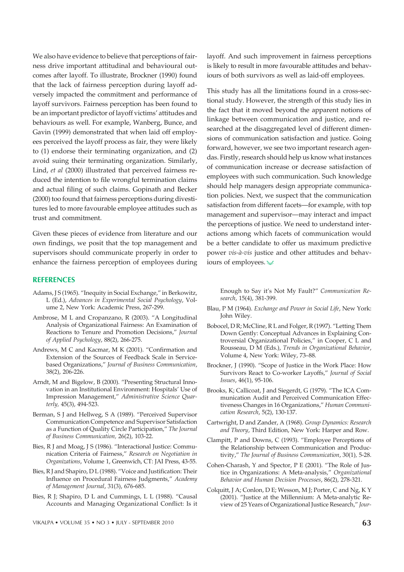We also have evidence to believe that perceptions of fairness drive important attitudinal and behavioural outcomes after layoff. To illustrate, Brockner (1990) found that the lack of fairness perception during layoff adversely impacted the commitment and performance of layoff survivors. Fairness perception has been found to be an important predictor of layoff victims' attitudes and behaviours as well. For example, Wanberg, Bunce, and Gavin (1999) demonstrated that when laid off employees perceived the layoff process as fair, they were likely to (1) endorse their terminating organization, and (2) avoid suing their terminating organization. Similarly, Lind, *et al* (2000) illustrated that perceived fairness reduced the intention to file wrongful termination claims and actual filing of such claims. Gopinath and Becker (2000) too found that fairness perceptions during divestitures led to more favourable employee attitudes such as trust and commitment.

Given these pieces of evidence from literature and our own findings, we posit that the top management and supervisors should communicate properly in order to enhance the fairness perception of employees during

#### **REFERENCES**

- Adams, J S (1965). "Inequity in Social Exchange," in Berkowitz, L (Ed.), *Advances in Experimental Social Psychology*, Volume 2, New York: Academic Press, 267-299.
- Ambrose, M L and Cropanzano, R (2003). "A Longitudinal Analysis of Organizational Fairness: An Examination of Reactions to Tenure and Promotion Decisions," *Journal of Applied Psychology*, 88(2), 266-275.
- Andrews, M C and Kacmar, M K (2001). "Confirmation and Extension of the Sources of Feedback Scale in Servicebased Organizations," *Journal of Business Communication*, 38(2), 206-226.
- Arndt, M and Bigelow, B (2000). "Presenting Structural Innovation in an Institutional Environment: Hospitals' Use of Impression Management," *Administrative Science Quarterly,* 45(3), 494-523.
- Berman, S J and Hellweg, S A (1989). "Perceived Supervisor Communication Competence and Supervisor Satisfaction as a Function of Quality Circle Participation," *The Journal of Business Communication,* 26(2), 103-22.
- Bies, R J and Moag, J S (1986). "Interactional Justice: Communication Criteria of Fairness," *Research on Negotiation in Organizations*, Volume 1, Greenwich, CT: JAI Press, 43-55.
- Bies, R J and Shapiro, D L (1988). "Voice and Justification: Their Influence on Procedural Fairness Judgments," *Academy of Management Journal*, 31(3), 676-685.
- Bies, R J; Shapiro, D L and Cummings, L L (1988). "Causal Accounts and Managing Organizational Conflict: Is it

layoff. And such improvement in fairness perceptions is likely to result in more favourable attitudes and behaviours of both survivors as well as laid-off employees.

This study has all the limitations found in a cross-sectional study. However, the strength of this study lies in the fact that it moved beyond the apparent notions of linkage between communication and justice, and researched at the disaggregated level of different dimensions of communication satisfaction and justice. Going forward, however, we see two important research agendas. Firstly, research should help us know what instances of communication increase or decrease satisfaction of employees with such communication. Such knowledge should help managers design appropriate communication policies. Next, we suspect that the communication satisfaction from different facets—for example, with top management and supervisor—may interact and impact the perceptions of justice. We need to understand interactions among which facets of communication would be a better candidate to offer us maximum predictive power *vis-à-vis* justice and other attitudes and behaviours of employees.

Enough to Say it's Not My Fault?" *Communication Research*, 15(4), 381-399.

- Blau, P M (1964). *Exchange and Power in Social Life*, New York: John Wiley.
- Bobocel, D R; McCline, R L and Folger, R (1997). "Letting Them Down Gently: Conceptual Advances in Explaining Controversial Organizational Policies," in Cooper, C L and Rousseau, D M (Eds.), *Trends in Organizational Behavior*, Volume 4, New York: Wiley, 73–88.
- Brockner, J (1990). "Scope of Justice in the Work Place: How Survivors React to Co-worker Layoffs," *Journal of Social Issues*, 46(1), 95-106.
- Brooks, K; Callicoat, J and Siegerdt, G (1979). "The ICA Communication Audit and Perceived Communication Effectiveness Changes in 16 Organizations," *Human Communication Research*, 5(2), 130-137.
- Cartwright, D and Zander, A (1968). *Group Dynamics: Research and Theory*, Third Edition, New York: Harper and Row.
- Clampitt, P and Downs, C (1993). "Employee Perceptions of the Relationship between Communication and Productivity," *The Journal of Business Communication*, 30(1)*,* 5-28.
- Cohen-Charash, Y and Spector, P E (2001). "The Role of Justice in Organizations: A Meta-analysis," *Organizational Behavior and Human Decision Processes*, 86(2), 278-321.
- Colquitt, J A; Conlon, D E; Wesson, M J; Porter, C and Ng, K Y (2001). "Justice at the Millennium: A Meta-analytic Review of 25 Years of Organizational Justice Research," *Jour-*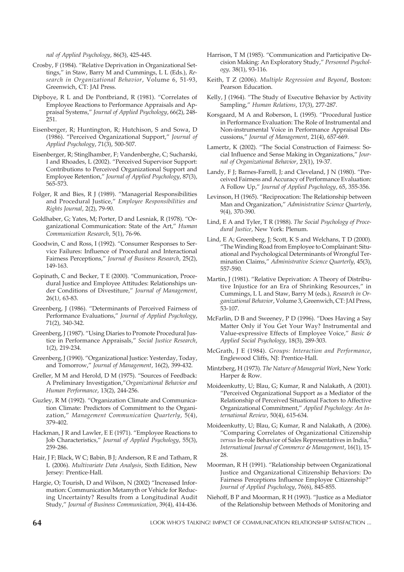*nal of Applied Psychology*, 86(3), 425-445.

- Crosby, F (1984). "Relative Deprivation in Organizational Settings," in Staw, Barry M and Cummings, L L (Eds.), *Research in Organizational Behavior*, Volume 6, 51-93, Greenwich, CT: JAI Press.
- Dipboye, R L and De Pontbriand, R (1981). "Correlates of Employee Reactions to Performance Appraisals and Appraisal Systems," *Journal of Applied Psychology*, 66(2), 248- 251.
- Eisenberger, R; Huntington, R; Hutchison, S and Sowa, D (1986). "Perceived Organizational Support," *Journal of Applied Psychology*, 71(3), 500-507.
- Eisenberger, R; Stinglhamber, F; Vandenberghe, C; Sucharski, I and Rhoades, L (2002). "Perceived Supervisor Support: Contributions to Perceived Organizational Support and Employee Retention," *Journal of Applied Psychology*, 87(3), 565-573.
- Folger, R and Bies, R J (1989). "Managerial Responsibilities and Procedural Justice," *Employee Responsibilities and Rights Journal*, 2(2), 79-90.
- Goldhaber, G; Yates, M; Porter, D and Lesniak, R (1978). "Organizational Communication: State of the Art," *Human Communication Research*, 5(1), 76-96.
- Goodwin, C and Ross, I (1992). "Consumer Responses to Service Failures: Influence of Procedural and Interactional Fairness Perceptions," *Journal of Business Research*, 25(2), 149-163.
- Gopinath, C and Becker, T E (2000). "Communication, Procedural Justice and Employee Attitudes: Relationships under Conditions of Divestiture," *Journal of Management*, 26(1*)*, 63-83.
- Greenberg, J (1986). "Determinants of Perceived Fairness of Performance Evaluations," *Journal of Applied Psychology*, 71(2), 340-342.
- Greenberg, J (1987). "Using Diaries to Promote Procedural Justice in Performance Appraisals," *Social Justice Research*, 1(2), 219-234.
- Greenberg, J (1990). "Organizational Justice: Yesterday, Today, and Tomorrow," *Journal of Management*, 16(2), 399-432.
- Greller, M M and Herold, D M (1975). "Sources of Feedback: A Preliminary Investigation,"*Organizational Behavior and Human Performance*, 13(2), 244-256.
- Guzley, R M (1992). "Organization Climate and Communication Climate: Predictors of Commitment to the Organization," *Management Communication Quarterly*, 5(4), 379-402.
- Hackman, J R and Lawler, E E (1971). "Employee Reactions to Job Characteristics," *Journal of Applied Psychology*, 55(3), 259-286.
- Hair, J F; Black, W C; Babin, B J; Anderson, R E and Tatham, R L (2006). *Multivariate Data Analysis*, Sixth Edition, New Jersey: Prentice-Hall.
- Hargie, O; Tourish, D and Wilson, N (2002) "Increased Information: Communication Metamyth or Vehicle for Reducing Uncertainty? Results from a Longitudinal Audit Study," *Journal of Business Communication*, 39(4), 414-436.
- Harrison, T M (1985). "Communication and Participative Decision Making: An Exploratory Study," *Personnel Psychology,* 38(1), 93-116.
- Keith, T Z (2006). *Multiple Regression and Beyond*, Boston: Pearson Education.
- Kelly, J (1964). "The Study of Executive Behavior by Activity Sampling," *Human Relations*, 17(3), 277-287.
- Korsgaard, M A and Roberson, L (1995). "Procedural Justice in Performance Evaluation: The Role of Instrumental and Non-instrumental Voice in Performance Appraisal Discussions," *Journal of Management*, 21(4), 657-669.
- Lamertz, K (2002). "The Social Construction of Fairness: Social Influence and Sense Making in Organizations," *Journal of Organizational Behavior*, 23(1), 19-37.
- Landy, F J; Barnes-Farrell, J; and Cleveland, J N (1980). "Perceived Fairness and Accuracy of Performance Evaluation: A Follow Up," *Journal of Applied Psychology*, 65, 355-356.
- Levinson, H (1965). "Reciprocation: The Relationship between Man and Organization," *Administrative Science Quarterly*, 9(4), 370-390.
- Lind, E A and Tyler, T R (1988). *The Social Psychology of Procedural Justice*, New York: Plenum.
- Lind, E A; Greenberg, J; Scott, K S and Welchans, T D (2000). "The Winding Road from Employee to Complainant: Situational and Psychological Determinants of Wrongful Termination Claims," *Administrative Science Quarterly*, 45(3), 557-590.
- Martin, J (1981). "Relative Deprivation: A Theory of Distributive Injustice for an Era of Shrinking Resources," in Cummings, L L and Staw, Barry M (eds.), *Research in Organizational Behavior*, Volume 3, Greenwich, CT: JAI Press, 53-107.
- McFarlin, D B and Sweeney, P D (1996). "Does Having a Say Matter Only if You Get Your Way? Instrumental and Value-expressive Effects of Employee Voice," *Basic & Applied Social Psychology*, 18(3), 289-303.
- McGrath, J E (1984). *Groups: Interaction and Performance*, Englewood Cliffs, NJ: Prentice-Hall.
- Mintzberg, H (1973). *The Nature of Managerial Work*, New York: Harper & Row.
- Moideenkutty, U; Blau, G; Kumar, R and Nalakath, A (2001). "Perceived Organizational Support as a Mediator of the Relationship of Perceived Situational Factors to Affective Organizational Commitment," *Applied Psychology: An International Review*, 50(4), 615-634.
- Moideenkutty, U; Blau, G; Kumar, R and Nalakath, A (2006). "Comparing Correlates of Organizational Citizenship *versus* In-role Behavior of Sales Representatives in India," *International Journal of Commerce & Management*, 16(1), 15- 28.
- Moorman, R H (1991). "Relationship between Organizational Justice and Organizational Citizenship Behaviors: Do Fairness Perceptions Influence Employee Citizenship?" *Journal of Applied Psychology*, 76(6), 845-855.
- Niehoff, B P and Moorman, R H (1993). "Justice as a Mediator of the Relationship between Methods of Monitoring and